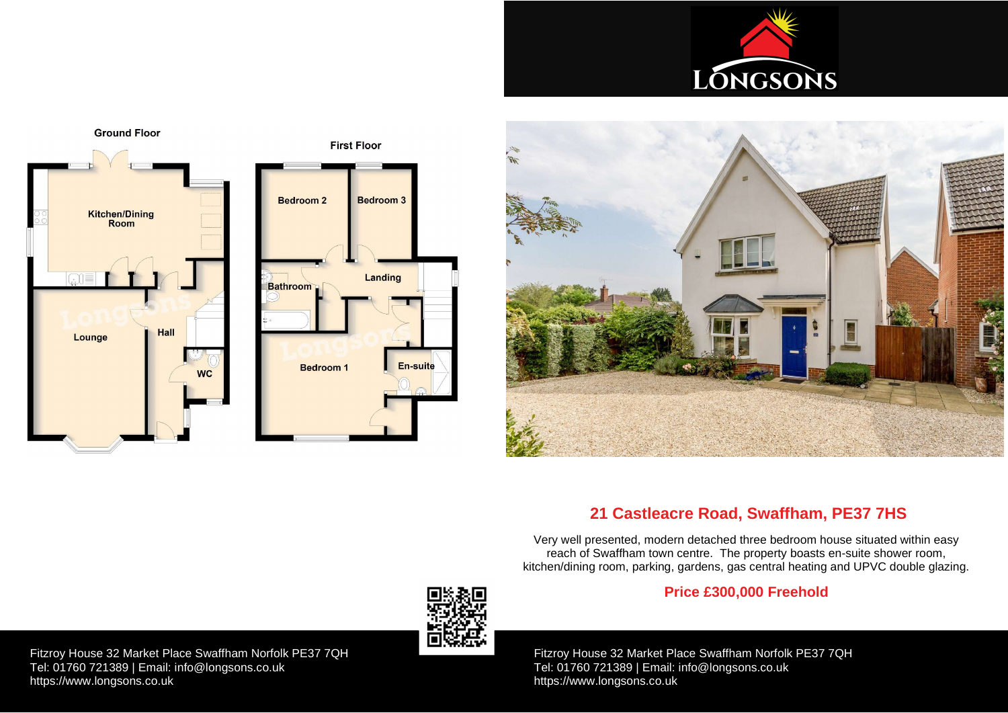Fitzroy House 32 Market Place Swaffham Norfolk PE37 7QH Tel: 01760 721389 | Email: [info@longsons.co.uk](mailto:info@longsons.co.uk) <https://www.longsons.co.uk>







**First Floor** 

Fitzroy House 32 Market Place Swaffham Norfolk PE37 7QH Tel: 01760 721389 | Email: [info@longsons.co.uk](mailto:info@longsons.co.uk) <https://www.longsons.co.uk>







# **21 Castleacre Road, Swaffham, PE37 7HS**

Very well presented, modern detached three bedroom house situated within easy reach of Swaffham town centre. The property boasts en-suite shower room, kitchen/dining room, parking, gardens, gas central heating and UPVC double glazing.

# **Price £300,000 Freehold**